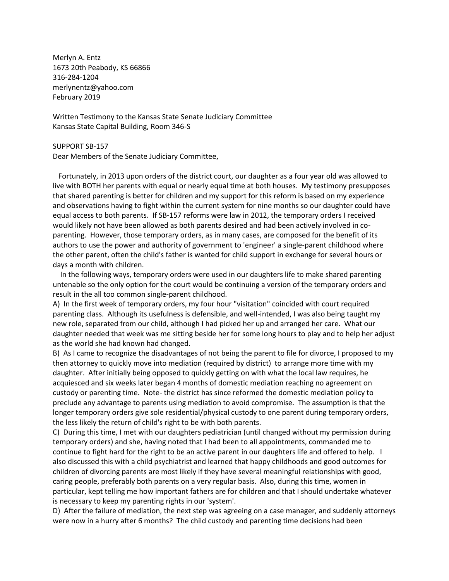Merlyn A. Entz 1673 20th Peabody, KS 66866 316-284-1204 merlynentz@yahoo.com February 2019

Written Testimony to the Kansas State Senate Judiciary Committee Kansas State Capital Building, Room 346-S

SUPPORT SB-157

Dear Members of the Senate Judiciary Committee,

 Fortunately, in 2013 upon orders of the district court, our daughter as a four year old was allowed to live with BOTH her parents with equal or nearly equal time at both houses. My testimony presupposes that shared parenting is better for children and my support for this reform is based on my experience and observations having to fight within the current system for nine months so our daughter could have equal access to both parents. If SB-157 reforms were law in 2012, the temporary orders I received would likely not have been allowed as both parents desired and had been actively involved in coparenting. However, those temporary orders, as in many cases, are composed for the benefit of its authors to use the power and authority of government to 'engineer' a single-parent childhood where the other parent, often the child's father is wanted for child support in exchange for several hours or days a month with children.

 In the following ways, temporary orders were used in our daughters life to make shared parenting untenable so the only option for the court would be continuing a version of the temporary orders and result in the all too common single-parent childhood.

A) In the first week of temporary orders, my four hour "visitation" coincided with court required parenting class. Although its usefulness is defensible, and well-intended, I was also being taught my new role, separated from our child, although I had picked her up and arranged her care. What our daughter needed that week was me sitting beside her for some long hours to play and to help her adjust as the world she had known had changed.

B) As I came to recognize the disadvantages of not being the parent to file for divorce, I proposed to my then attorney to quickly move into mediation (required by district) to arrange more time with my daughter. After initially being opposed to quickly getting on with what the local law requires, he acquiesced and six weeks later began 4 months of domestic mediation reaching no agreement on custody or parenting time. Note- the district has since reformed the domestic mediation policy to preclude any advantage to parents using mediation to avoid compromise. The assumption is that the longer temporary orders give sole residential/physical custody to one parent during temporary orders, the less likely the return of child's right to be with both parents.

C) During this time, I met with our daughters pediatrician (until changed without my permission during temporary orders) and she, having noted that I had been to all appointments, commanded me to continue to fight hard for the right to be an active parent in our daughters life and offered to help. I also discussed this with a child psychiatrist and learned that happy childhoods and good outcomes for children of divorcing parents are most likely if they have several meaningful relationships with good, caring people, preferably both parents on a very regular basis. Also, during this time, women in particular, kept telling me how important fathers are for children and that I should undertake whatever is necessary to keep my parenting rights in our 'system'.

D) After the failure of mediation, the next step was agreeing on a case manager, and suddenly attorneys were now in a hurry after 6 months? The child custody and parenting time decisions had been